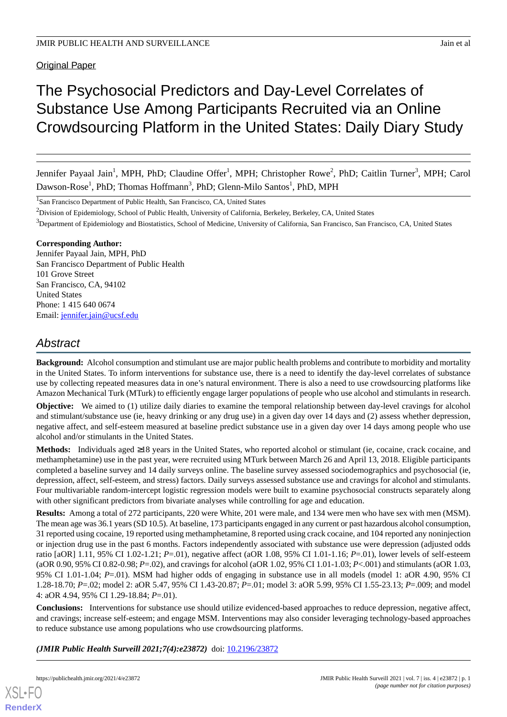**Original Paper** 

# The Psychosocial Predictors and Day-Level Correlates of Substance Use Among Participants Recruited via an Online Crowdsourcing Platform in the United States: Daily Diary Study

Jennifer Payaal Jain<sup>1</sup>, MPH, PhD; Claudine Offer<sup>1</sup>, MPH; Christopher Rowe<sup>2</sup>, PhD; Caitlin Turner<sup>3</sup>, MPH; Carol Dawson-Rose<sup>1</sup>, PhD; Thomas Hoffmann<sup>3</sup>, PhD; Glenn-Milo Santos<sup>1</sup>, PhD, MPH

<sup>1</sup>San Francisco Department of Public Health, San Francisco, CA, United States

<sup>3</sup>Department of Epidemiology and Biostatistics, School of Medicine, University of California, San Francisco, San Francisco, CA, United States

# **Corresponding Author:**

Jennifer Payaal Jain, MPH, PhD San Francisco Department of Public Health 101 Grove Street San Francisco, CA, 94102 United States Phone: 1 415 640 0674 Email: [jennifer.jain@ucsf.edu](mailto:jennifer.jain@ucsf.edu)

# *Abstract*

**Background:** Alcohol consumption and stimulant use are major public health problems and contribute to morbidity and mortality in the United States. To inform interventions for substance use, there is a need to identify the day-level correlates of substance use by collecting repeated measures data in one's natural environment. There is also a need to use crowdsourcing platforms like Amazon Mechanical Turk (MTurk) to efficiently engage larger populations of people who use alcohol and stimulants in research.

**Objective:** We aimed to (1) utilize daily diaries to examine the temporal relationship between day-level cravings for alcohol and stimulant/substance use (ie, heavy drinking or any drug use) in a given day over 14 days and (2) assess whether depression, negative affect, and self-esteem measured at baseline predict substance use in a given day over 14 days among people who use alcohol and/or stimulants in the United States.

**Methods:** Individuals aged ≥18 years in the United States, who reported alcohol or stimulant (ie, cocaine, crack cocaine, and methamphetamine) use in the past year, were recruited using MTurk between March 26 and April 13, 2018. Eligible participants completed a baseline survey and 14 daily surveys online. The baseline survey assessed sociodemographics and psychosocial (ie, depression, affect, self-esteem, and stress) factors. Daily surveys assessed substance use and cravings for alcohol and stimulants. Four multivariable random-intercept logistic regression models were built to examine psychosocial constructs separately along with other significant predictors from bivariate analyses while controlling for age and education.

**Results:** Among a total of 272 participants, 220 were White, 201 were male, and 134 were men who have sex with men (MSM). The mean age was 36.1 years (SD 10.5). At baseline, 173 participants engaged in any current or past hazardous alcohol consumption, 31 reported using cocaine, 19 reported using methamphetamine, 8 reported using crack cocaine, and 104 reported any noninjection or injection drug use in the past 6 months. Factors independently associated with substance use were depression (adjusted odds ratio [aOR] 1.11, 95% CI 1.02-1.21; *P*=.01), negative affect (aOR 1.08, 95% CI 1.01-1.16; *P*=.01), lower levels of self-esteem (aOR 0.90, 95% CI 0.82-0.98; *P*=.02), and cravings for alcohol (aOR 1.02, 95% CI 1.01-1.03; *P*<.001) and stimulants (aOR 1.03, 95% CI 1.01-1.04; *P*=.01). MSM had higher odds of engaging in substance use in all models (model 1: aOR 4.90, 95% CI 1.28-18.70; *P*=.02; model 2: aOR 5.47, 95% CI 1.43-20.87; *P*=.01; model 3: aOR 5.99, 95% CI 1.55-23.13; *P*=.009; and model 4: aOR 4.94, 95% CI 1.29-18.84; *P*=.01).

**Conclusions:** Interventions for substance use should utilize evidenced-based approaches to reduce depression, negative affect, and cravings; increase self-esteem; and engage MSM. Interventions may also consider leveraging technology-based approaches to reduce substance use among populations who use crowdsourcing platforms.

*(JMIR Public Health Surveill 2021;7(4):e23872)* doi: [10.2196/23872](http://dx.doi.org/10.2196/23872)

 $2$ Division of Epidemiology, School of Public Health, University of California, Berkeley, Berkeley, CA, United States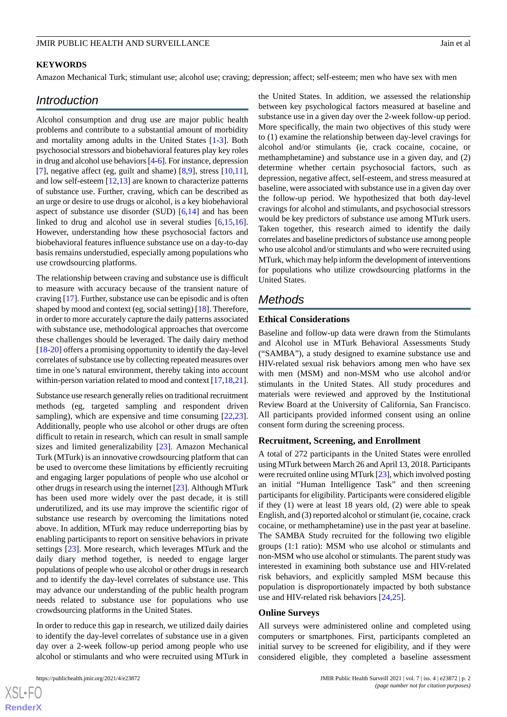## **KEYWORDS**

Amazon Mechanical Turk; stimulant use; alcohol use; craving; depression; affect; self-esteem; men who have sex with men

# *Introduction*

Alcohol consumption and drug use are major public health problems and contribute to a substantial amount of morbidity and mortality among adults in the United States [\[1](#page-10-0)-[3\]](#page-10-1). Both psychosocial stressors and biobehavioral features play key roles in drug and alcohol use behaviors [\[4](#page-10-2)[-6](#page-10-3)]. For instance, depression [[7\]](#page-10-4), negative affect (eg, guilt and shame) [[8](#page-10-5),[9\]](#page-10-6), stress [\[10](#page-10-7),[11\]](#page-10-8), and low self-esteem  $[12,13]$  $[12,13]$  $[12,13]$  are known to characterize patterns of substance use. Further, craving, which can be described as an urge or desire to use drugs or alcohol, is a key biobehavioral aspect of substance use disorder (SUD)  $[6,14]$  $[6,14]$  $[6,14]$  and has been linked to drug and alcohol use in several studies [[6](#page-10-3)[,15](#page-11-2),[16\]](#page-11-3). However, understanding how these psychosocial factors and biobehavioral features influence substance use on a day-to-day basis remains understudied, especially among populations who use crowdsourcing platforms.

The relationship between craving and substance use is difficult to measure with accuracy because of the transient nature of craving [\[17](#page-11-4)]. Further, substance use can be episodic and is often shaped by mood and context (eg, social setting) [\[18](#page-11-5)]. Therefore, in order to more accurately capture the daily patterns associated with substance use, methodological approaches that overcome these challenges should be leveraged. The daily dairy method [[18](#page-11-5)[-20](#page-11-6)] offers a promising opportunity to identify the day-level correlates of substance use by collecting repeated measures over time in one's natural environment, thereby taking into account within-person variation related to mood and context [\[17,](#page-11-4)[18](#page-11-5),[21\]](#page-11-7).

Substance use research generally relies on traditional recruitment methods (eg, targeted sampling and respondent driven sampling), which are expensive and time consuming [\[22](#page-11-8),[23\]](#page-11-9). Additionally, people who use alcohol or other drugs are often difficult to retain in research, which can result in small sample sizes and limited generalizability [[23\]](#page-11-9). Amazon Mechanical Turk (MTurk) is an innovative crowdsourcing platform that can be used to overcome these limitations by efficiently recruiting and engaging larger populations of people who use alcohol or other drugs in research using the internet [[23\]](#page-11-9). Although MTurk has been used more widely over the past decade, it is still underutilized, and its use may improve the scientific rigor of substance use research by overcoming the limitations noted above. In addition, MTurk may reduce underreporting bias by enabling participants to report on sensitive behaviors in private settings [[23\]](#page-11-9). More research, which leverages MTurk and the daily diary method together, is needed to engage larger populations of people who use alcohol or other drugs in research and to identify the day-level correlates of substance use. This may advance our understanding of the public health program needs related to substance use for populations who use crowdsourcing platforms in the United States.

In order to reduce this gap in research, we utilized daily dairies to identify the day-level correlates of substance use in a given day over a 2-week follow-up period among people who use alcohol or stimulants and who were recruited using MTurk in

the United States. In addition, we assessed the relationship between key psychological factors measured at baseline and substance use in a given day over the 2-week follow-up period. More specifically, the main two objectives of this study were to (1) examine the relationship between day-level cravings for alcohol and/or stimulants (ie, crack cocaine, cocaine, or methamphetamine) and substance use in a given day, and (2) determine whether certain psychosocial factors, such as depression, negative affect, self-esteem, and stress measured at baseline, were associated with substance use in a given day over the follow-up period. We hypothesized that both day-level cravings for alcohol and stimulants, and psychosocial stressors would be key predictors of substance use among MTurk users. Taken together, this research aimed to identify the daily correlates and baseline predictors of substance use among people who use alcohol and/or stimulants and who were recruited using MTurk, which may help inform the development of interventions for populations who utilize crowdsourcing platforms in the United States.

# *Methods*

#### **Ethical Considerations**

Baseline and follow-up data were drawn from the Stimulants and Alcohol use in MTurk Behavioral Assessments Study ("SAMBA"), a study designed to examine substance use and HIV-related sexual risk behaviors among men who have sex with men (MSM) and non-MSM who use alcohol and/or stimulants in the United States. All study procedures and materials were reviewed and approved by the Institutional Review Board at the University of California, San Francisco. All participants provided informed consent using an online consent form during the screening process.

#### **Recruitment, Screening, and Enrollment**

A total of 272 participants in the United States were enrolled using MTurk between March 26 and April 13, 2018. Participants were recruited online using MTurk [\[23](#page-11-9)], which involved posting an initial "Human Intelligence Task" and then screening participants for eligibility. Participants were considered eligible if they (1) were at least 18 years old, (2) were able to speak English, and (3) reported alcohol or stimulant (ie, cocaine, crack cocaine, or methamphetamine) use in the past year at baseline. The SAMBA Study recruited for the following two eligible groups (1:1 ratio): MSM who use alcohol or stimulants and non-MSM who use alcohol or stimulants. The parent study was interested in examining both substance use and HIV-related risk behaviors, and explicitly sampled MSM because this population is disproportionately impacted by both substance use and HIV-related risk behaviors [\[24](#page-11-10),[25\]](#page-11-11).

#### **Online Surveys**

All surveys were administered online and completed using computers or smartphones. First, participants completed an initial survey to be screened for eligibility, and if they were considered eligible, they completed a baseline assessment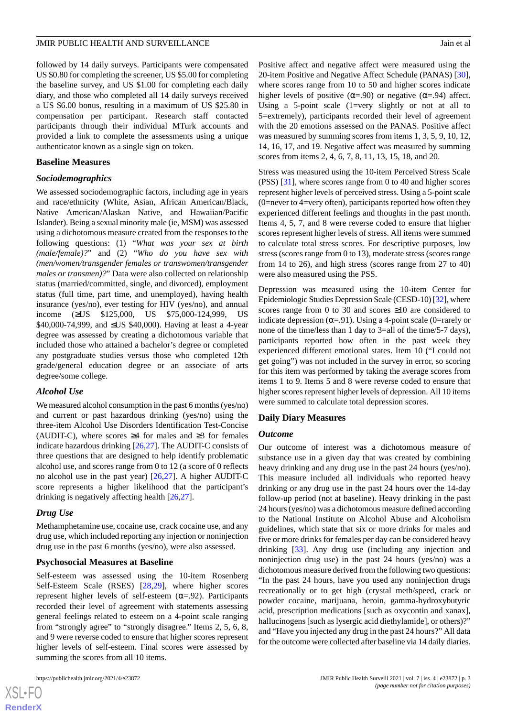followed by 14 daily surveys. Participants were compensated US \$0.80 for completing the screener, US \$5.00 for completing the baseline survey, and US \$1.00 for completing each daily diary, and those who completed all 14 daily surveys received a US \$6.00 bonus, resulting in a maximum of US \$25.80 in compensation per participant. Research staff contacted participants through their individual MTurk accounts and provided a link to complete the assessments using a unique authenticator known as a single sign on token.

#### **Baseline Measures**

#### *Sociodemographics*

We assessed sociodemographic factors, including age in years and race/ethnicity (White, Asian, African American/Black, Native American/Alaskan Native, and Hawaiian/Pacific Islander). Being a sexual minority male (ie, MSM) was assessed using a dichotomous measure created from the responses to the following questions: (1) "*What was your sex at birth (male/female)?*" and (2) "*Who do you have sex with (men/women/transgender females or transwomen/transgender males or transmen)?*" Data were also collected on relationship status (married/committed, single, and divorced), employment status (full time, part time, and unemployed), having health insurance (yes/no), ever testing for HIV (yes/no), and annual income (≥US \$125,000, US \$75,000-124,999, US \$40,000-74,999, and ≤US \$40,000). Having at least a 4-year degree was assessed by creating a dichotomous variable that included those who attained a bachelor's degree or completed any postgraduate studies versus those who completed 12th grade/general education degree or an associate of arts degree/some college.

# *Alcohol Use*

We measured alcohol consumption in the past 6 months (yes/no) and current or past hazardous drinking (yes/no) using the three-item Alcohol Use Disorders Identification Test-Concise (AUDIT-C), where scores  $\geq 4$  for males and  $\geq 3$  for females indicate hazardous drinking [[26](#page-11-12)[,27](#page-11-13)]. The AUDIT-C consists of three questions that are designed to help identify problematic alcohol use, and scores range from 0 to 12 (a score of 0 reflects no alcohol use in the past year) [\[26](#page-11-12),[27\]](#page-11-13). A higher AUDIT-C score represents a higher likelihood that the participant's drinking is negatively affecting health [[26,](#page-11-12)[27](#page-11-13)].

# *Drug Use*

Methamphetamine use, cocaine use, crack cocaine use, and any drug use, which included reporting any injection or noninjection drug use in the past 6 months (yes/no), were also assessed.

# **Psychosocial Measures at Baseline**

Self-esteem was assessed using the 10-item Rosenberg Self-Esteem Scale (RSES) [[28,](#page-11-14)[29](#page-11-15)], where higher scores represent higher levels of self-esteem ( $\alpha$ =.92). Participants recorded their level of agreement with statements assessing general feelings related to esteem on a 4-point scale ranging from "strongly agree" to "strongly disagree." Items 2, 5, 6, 8, and 9 were reverse coded to ensure that higher scores represent higher levels of self-esteem. Final scores were assessed by summing the scores from all 10 items.

Positive affect and negative affect were measured using the 20-item Positive and Negative Affect Schedule (PANAS) [[30\]](#page-11-16), where scores range from 10 to 50 and higher scores indicate higher levels of positive ( $\alpha = .90$ ) or negative ( $\alpha = .94$ ) affect. Using a 5-point scale (1=very slightly or not at all to 5=extremely), participants recorded their level of agreement with the 20 emotions assessed on the PANAS. Positive affect was measured by summing scores from items 1, 3, 5, 9, 10, 12, 14, 16, 17, and 19. Negative affect was measured by summing scores from items 2, 4, 6, 7, 8, 11, 13, 15, 18, and 20.

Stress was measured using the 10-item Perceived Stress Scale (PSS) [[31\]](#page-11-17), where scores range from 0 to 40 and higher scores represent higher levels of perceived stress. Using a 5-point scale (0=never to 4=very often), participants reported how often they experienced different feelings and thoughts in the past month. Items 4, 5, 7, and 8 were reverse coded to ensure that higher scores represent higher levels of stress. All items were summed to calculate total stress scores. For descriptive purposes, low stress (scores range from 0 to 13), moderate stress (scores range from 14 to 26), and high stress (scores range from 27 to 40) were also measured using the PSS.

Depression was measured using the 10-item Center for Epidemiologic Studies Depression Scale (CESD-10) [[32](#page-11-18)], where scores range from 0 to 30 and scores  $\geq 10$  are considered to indicate depression ( $\alpha$ =.91). Using a 4-point scale (0=rarely or none of the time/less than 1 day to 3=all of the time/5-7 days), participants reported how often in the past week they experienced different emotional states. Item 10 ("I could not get going") was not included in the survey in error, so scoring for this item was performed by taking the average scores from items 1 to 9. Items 5 and 8 were reverse coded to ensure that higher scores represent higher levels of depression. All 10 items were summed to calculate total depression scores.

# **Daily Diary Measures**

# *Outcome*

Our outcome of interest was a dichotomous measure of substance use in a given day that was created by combining heavy drinking and any drug use in the past 24 hours (yes/no). This measure included all individuals who reported heavy drinking or any drug use in the past 24 hours over the 14-day follow-up period (not at baseline). Heavy drinking in the past 24 hours (yes/no) was a dichotomous measure defined according to the National Institute on Alcohol Abuse and Alcoholism guidelines, which state that six or more drinks for males and five or more drinks for females per day can be considered heavy drinking [\[33](#page-11-19)]. Any drug use (including any injection and noninjection drug use) in the past 24 hours (yes/no) was a dichotomous measure derived from the following two questions: "In the past 24 hours, have you used any noninjection drugs recreationally or to get high (crystal meth/speed, crack or powder cocaine, marijuana, heroin, gamma-hydroxybutyric acid, prescription medications [such as oxycontin and xanax], hallucinogens [such as lysergic acid diethylamide], or others)?" and "Have you injected any drug in the past 24 hours?" All data for the outcome were collected after baseline via 14 daily diaries.

 $XSI - F($ **[RenderX](http://www.renderx.com/)**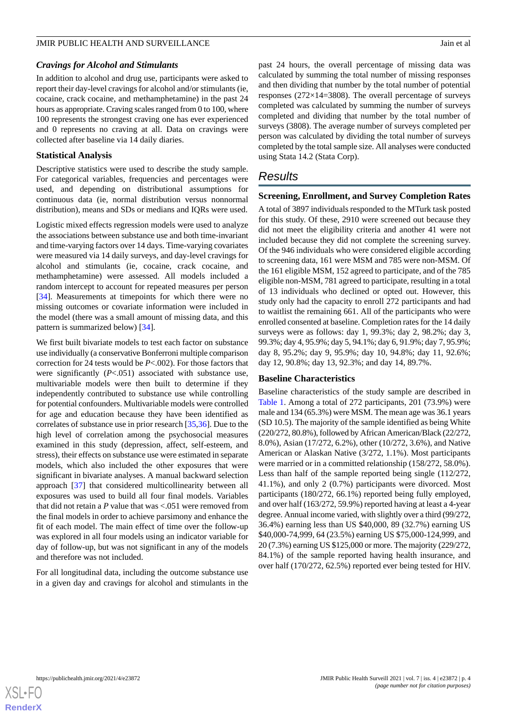#### *Cravings for Alcohol and Stimulants*

In addition to alcohol and drug use, participants were asked to report their day-level cravings for alcohol and/or stimulants (ie, cocaine, crack cocaine, and methamphetamine) in the past 24 hours as appropriate. Craving scales ranged from 0 to 100, where 100 represents the strongest craving one has ever experienced and 0 represents no craving at all. Data on cravings were collected after baseline via 14 daily diaries.

#### **Statistical Analysis**

Descriptive statistics were used to describe the study sample. For categorical variables, frequencies and percentages were used, and depending on distributional assumptions for continuous data (ie, normal distribution versus nonnormal distribution), means and SDs or medians and IQRs were used.

Logistic mixed effects regression models were used to analyze the associations between substance use and both time-invariant and time-varying factors over 14 days. Time-varying covariates were measured via 14 daily surveys, and day-level cravings for alcohol and stimulants (ie, cocaine, crack cocaine, and methamphetamine) were assessed. All models included a random intercept to account for repeated measures per person [[34\]](#page-11-20). Measurements at timepoints for which there were no missing outcomes or covariate information were included in the model (there was a small amount of missing data, and this pattern is summarized below) [[34\]](#page-11-20).

We first built bivariate models to test each factor on substance use individually (a conservative Bonferroni multiple comparison correction for 24 tests would be *P*<.002). For those factors that were significantly (*P*<.051) associated with substance use, multivariable models were then built to determine if they independently contributed to substance use while controlling for potential confounders. Multivariable models were controlled for age and education because they have been identified as correlates of substance use in prior research [\[35](#page-11-21),[36\]](#page-12-0). Due to the high level of correlation among the psychosocial measures examined in this study (depression, affect, self-esteem, and stress), their effects on substance use were estimated in separate models, which also included the other exposures that were significant in bivariate analyses. A manual backward selection approach [\[37](#page-12-1)] that considered multicollinearity between all exposures was used to build all four final models. Variables that did not retain a *P* value that was <.051 were removed from the final models in order to achieve parsimony and enhance the fit of each model. The main effect of time over the follow-up was explored in all four models using an indicator variable for day of follow-up, but was not significant in any of the models and therefore was not included.

For all longitudinal data, including the outcome substance use in a given day and cravings for alcohol and stimulants in the past 24 hours, the overall percentage of missing data was calculated by summing the total number of missing responses and then dividing that number by the total number of potential responses (272×14=3808). The overall percentage of surveys completed was calculated by summing the number of surveys completed and dividing that number by the total number of surveys (3808). The average number of surveys completed per person was calculated by dividing the total number of surveys completed by the total sample size. All analyses were conducted using Stata 14.2 (Stata Corp).

# *Results*

#### **Screening, Enrollment, and Survey Completion Rates**

A total of 3897 individuals responded to the MTurk task posted for this study. Of these, 2910 were screened out because they did not meet the eligibility criteria and another 41 were not included because they did not complete the screening survey. Of the 946 individuals who were considered eligible according to screening data, 161 were MSM and 785 were non-MSM. Of the 161 eligible MSM, 152 agreed to participate, and of the 785 eligible non-MSM, 781 agreed to participate, resulting in a total of 13 individuals who declined or opted out. However, this study only had the capacity to enroll 272 participants and had to waitlist the remaining 661. All of the participants who were enrolled consented at baseline. Completion rates for the 14 daily surveys were as follows: day 1, 99.3%; day 2, 98.2%; day 3, 99.3%; day 4, 95.9%; day 5, 94.1%; day 6, 91.9%; day 7, 95.9%; day 8, 95.2%; day 9, 95.9%; day 10, 94.8%; day 11, 92.6%; day 12, 90.8%; day 13, 92.3%; and day 14, 89.7%.

# **Baseline Characteristics**

Baseline characteristics of the study sample are described in [Table 1](#page-4-0). Among a total of 272 participants, 201 (73.9%) were male and 134 (65.3%) were MSM. The mean age was 36.1 years (SD 10.5). The majority of the sample identified as being White (220/272, 80.8%), followed by African American/Black (22/272, 8.0%), Asian (17/272, 6.2%), other (10/272, 3.6%), and Native American or Alaskan Native (3/272, 1.1%). Most participants were married or in a committed relationship (158/272, 58.0%). Less than half of the sample reported being single (112/272, 41.1%), and only 2 (0.7%) participants were divorced. Most participants (180/272, 66.1%) reported being fully employed, and over half (163/272, 59.9%) reported having at least a 4-year degree. Annual income varied, with slightly over a third (99/272, 36.4%) earning less than US \$40,000, 89 (32.7%) earning US \$40,000-74,999, 64 (23.5%) earning US \$75,000-124,999, and 20 (7.3%) earning US \$125,000 or more. The majority (229/272, 84.1%) of the sample reported having health insurance, and over half (170/272, 62.5%) reported ever being tested for HIV.

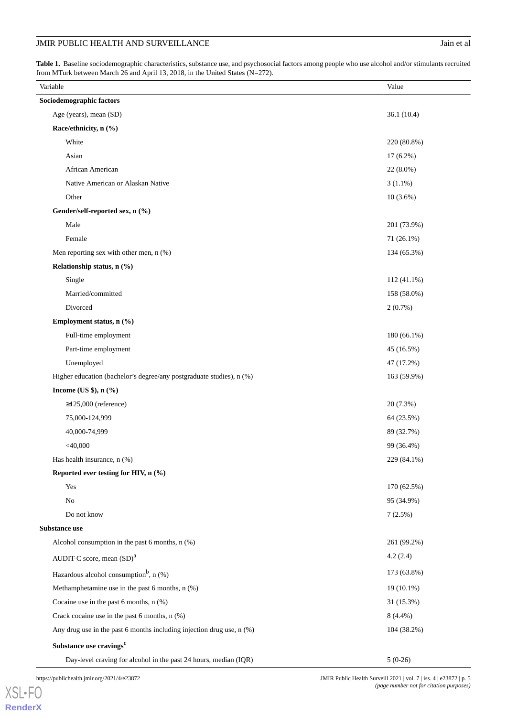# JMIR PUBLIC HEALTH AND SURVEILLANCE Jain et al

<span id="page-4-0"></span>Table 1. Baseline sociodemographic characteristics, substance use, and psychosocial factors among people who use alcohol and/or stimulants recruited from MTurk between March 26 and April 13, 2018, in the United States (N=272).

| Variable                                                              | Value       |
|-----------------------------------------------------------------------|-------------|
| Sociodemographic factors                                              |             |
| Age (years), mean (SD)                                                | 36.1(10.4)  |
| Race/ethnicity, n (%)                                                 |             |
| White                                                                 | 220 (80.8%) |
| Asian                                                                 | 17 (6.2%)   |
| African American                                                      | 22 (8.0%)   |
| Native American or Alaskan Native                                     | $3(1.1\%)$  |
| Other                                                                 | $10(3.6\%)$ |
| Gender/self-reported sex, n (%)                                       |             |
| Male                                                                  | 201 (73.9%) |
| Female                                                                | 71 (26.1%)  |
| Men reporting sex with other men, n (%)                               | 134 (65.3%) |
| Relationship status, n (%)                                            |             |
| Single                                                                | 112 (41.1%) |
| Married/committed                                                     | 158 (58.0%) |
| Divorced                                                              | 2(0.7%)     |
| Employment status, n (%)                                              |             |
| Full-time employment                                                  | 180 (66.1%) |
| Part-time employment                                                  | 45 (16.5%)  |
| Unemployed                                                            | 47 (17.2%)  |
| Higher education (bachelor's degree/any postgraduate studies), n (%)  | 163 (59.9%) |
| Income (US $\$ ), n $(\%$ )                                           |             |
| $\geq$ 125,000 (reference)                                            | 20 (7.3%)   |
| 75,000-124,999                                                        | 64 (23.5%)  |
| 40,000-74,999                                                         | 89 (32.7%)  |
| $<$ 40,000                                                            | 99 (36.4%)  |
| Has health insurance, n (%)                                           | 229 (84.1%) |
| Reported ever testing for HIV, $n$ (%)                                |             |
| Yes                                                                   | 170 (62.5%) |
| No                                                                    | 95 (34.9%)  |
| Do not know                                                           | 7(2.5%)     |
| Substance use                                                         |             |
| Alcohol consumption in the past 6 months, n (%)                       | 261 (99.2%) |
| AUDIT-C score, mean (SD) <sup>a</sup>                                 | 4.2(2.4)    |
| Hazardous alcohol consumption <sup>b</sup> , $n$ (%)                  | 173 (63.8%) |
| Methamphetamine use in the past 6 months, n (%)                       | 19 (10.1%)  |
| Cocaine use in the past 6 months, n (%)                               | 31 (15.3%)  |
| Crack cocaine use in the past 6 months, n (%)                         | $8(4.4\%)$  |
| Any drug use in the past 6 months including injection drug use, n (%) | 104 (38.2%) |
| Substance use cravings <sup>c</sup>                                   |             |
| Day-level craving for alcohol in the past 24 hours, median (IQR)      | $5(0-26)$   |

[XSL](http://www.w3.org/Style/XSL)•FO **[RenderX](http://www.renderx.com/)**

https://publichealth.jmir.org/2021/4/e23872 JMIR Public Health Surveill 2021 | vol. 7 | iss. 4 | e23872 | p. 5 *(page number not for citation purposes)*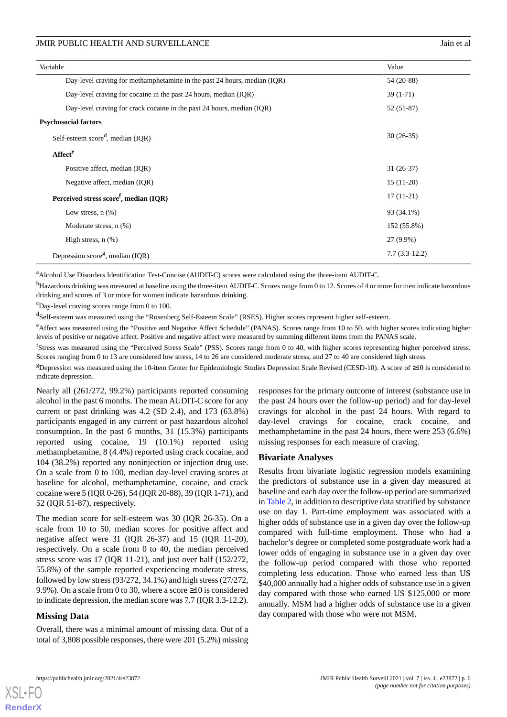| Variable                                                                 | Value           |  |  |  |
|--------------------------------------------------------------------------|-----------------|--|--|--|
| Day-level craving for methamphetamine in the past 24 hours, median (IQR) | 54 (20-88)      |  |  |  |
| Day-level craving for cocaine in the past 24 hours, median (IQR)         | $39(1-71)$      |  |  |  |
| Day-level craving for crack cocaine in the past 24 hours, median (IQR)   | $52(51-87)$     |  |  |  |
| <b>Psychosocial factors</b>                                              |                 |  |  |  |
| Self-esteem score <sup>d</sup> , median (IQR)                            | $30(26-35)$     |  |  |  |
| Affect <sup>e</sup>                                                      |                 |  |  |  |
| Positive affect, median (IQR)                                            | $31(26-37)$     |  |  |  |
| Negative affect, median (IQR)                                            | $15(11-20)$     |  |  |  |
| Perceived stress score <sup>f</sup> , median (IQR)                       | $17(11-21)$     |  |  |  |
| Low stress, $n$ $(\%)$                                                   | 93 (34.1%)      |  |  |  |
| Moderate stress, n (%)                                                   | 152 (55.8%)     |  |  |  |
| High stress, $n$ $(\%)$                                                  | 27 (9.9%)       |  |  |  |
| Depression score <sup>g</sup> , median (IQR)                             | $7.7(3.3-12.2)$ |  |  |  |

<sup>a</sup>Alcohol Use Disorders Identification Test-Concise (AUDIT-C) scores were calculated using the three-item AUDIT-C.

<sup>b</sup>Hazardous drinking was measured at baseline using the three-item AUDIT-C. Scores range from 0 to 12. Scores of 4 or more for men indicate hazardous drinking and scores of 3 or more for women indicate hazardous drinking.

 $\text{c}_{\text{Day-level}}$  craving scores range from 0 to 100.

<sup>d</sup>Self-esteem was measured using the "Rosenberg Self-Esteem Scale" (RSES). Higher scores represent higher self-esteem.

<sup>e</sup>Affect was measured using the "Positive and Negative Affect Schedule" (PANAS). Scores range from 10 to 50, with higher scores indicating higher levels of positive or negative affect. Positive and negative affect were measured by summing different items from the PANAS scale.

<sup>f</sup>Stress was measured using the "Perceived Stress Scale" (PSS). Scores range from 0 to 40, with higher scores representing higher perceived stress. Scores ranging from 0 to 13 are considered low stress, 14 to 26 are considered moderate stress, and 27 to 40 are considered high stress.

<sup>g</sup>Depression was measured using the 10-item Center for Epidemiologic Studies Depression Scale Revised (CESD-10). A score of  $\geq$ 10 is considered to indicate depression.

Nearly all (261/272, 99.2%) participants reported consuming alcohol in the past 6 months. The mean AUDIT-C score for any current or past drinking was 4.2 (SD 2.4), and 173 (63.8%) participants engaged in any current or past hazardous alcohol consumption. In the past 6 months, 31 (15.3%) participants reported using cocaine, 19 (10.1%) reported using methamphetamine, 8 (4.4%) reported using crack cocaine, and 104 (38.2%) reported any noninjection or injection drug use. On a scale from 0 to 100, median day-level craving scores at baseline for alcohol, methamphetamine, cocaine, and crack cocaine were 5 (IQR 0-26), 54 (IQR 20-88), 39 (IQR 1-71), and 52 (IQR 51-87), respectively.

The median score for self-esteem was 30 (IQR 26-35). On a scale from 10 to 50, median scores for positive affect and negative affect were 31 (IQR 26-37) and 15 (IQR 11-20), respectively. On a scale from 0 to 40, the median perceived stress score was 17 (IQR 11-21), and just over half (152/272, 55.8%) of the sample reported experiencing moderate stress, followed by low stress (93/272, 34.1%) and high stress (27/272, 9.9%). On a scale from 0 to 30, where a score ≥10 is considered to indicate depression, the median score was 7.7 (IQR 3.3-12.2).

# **Missing Data**

Overall, there was a minimal amount of missing data. Out of a total of 3,808 possible responses, there were 201 (5.2%) missing responses for the primary outcome of interest (substance use in the past 24 hours over the follow-up period) and for day-level cravings for alcohol in the past 24 hours. With regard to day-level cravings for cocaine, crack cocaine, and methamphetamine in the past 24 hours, there were 253 (6.6%) missing responses for each measure of craving.

#### **Bivariate Analyses**

Results from bivariate logistic regression models examining the predictors of substance use in a given day measured at baseline and each day over the follow-up period are summarized in [Table 2](#page-6-0), in addition to descriptive data stratified by substance use on day 1. Part-time employment was associated with a higher odds of substance use in a given day over the follow-up compared with full-time employment. Those who had a bachelor's degree or completed some postgraduate work had a lower odds of engaging in substance use in a given day over the follow-up period compared with those who reported completing less education. Those who earned less than US \$40,000 annually had a higher odds of substance use in a given day compared with those who earned US \$125,000 or more annually. MSM had a higher odds of substance use in a given day compared with those who were not MSM.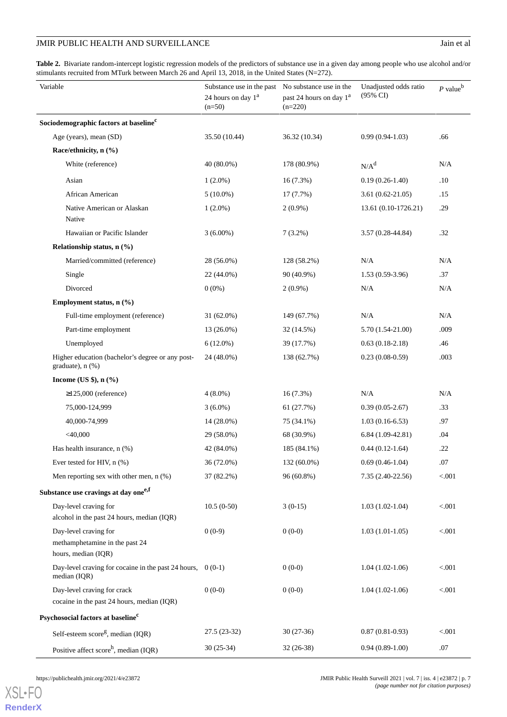# JMIR PUBLIC HEALTH AND SURVEILLANCE Jain et al

<span id="page-6-0"></span>Table 2. Bivariate random-intercept logistic regression models of the predictors of substance use in a given day among people who use alcohol and/or stimulants recruited from MTurk between March 26 and April 13, 2018, in the United States (N=272).

| Variable                                                                       | Substance use in the past<br>24 hours on day 1 <sup>a</sup><br>$(n=50)$ | No substance use in the<br>past 24 hours on day 1 <sup>a</sup><br>$(n=220)$ | Unadjusted odds ratio<br>(95% CI) | $P$ value <sup>b</sup> |
|--------------------------------------------------------------------------------|-------------------------------------------------------------------------|-----------------------------------------------------------------------------|-----------------------------------|------------------------|
| Sociodemographic factors at baseline <sup>c</sup>                              |                                                                         |                                                                             |                                   |                        |
| Age (years), mean (SD)                                                         | 35.50 (10.44)                                                           | 36.32 (10.34)                                                               | $0.99(0.94-1.03)$                 | .66                    |
| Race/ethnicity, n (%)                                                          |                                                                         |                                                                             |                                   |                        |
| White (reference)                                                              | 40 (80.0%)                                                              | 178 (80.9%)                                                                 | $N/A^d$                           | N/A                    |
| Asian                                                                          | $1(2.0\%)$                                                              | $16(7.3\%)$                                                                 | $0.19(0.26-1.40)$                 | .10                    |
| African American                                                               | $5(10.0\%)$                                                             | $17(7.7\%)$                                                                 | $3.61(0.62 - 21.05)$              | .15                    |
| Native American or Alaskan<br>Native                                           | $1(2.0\%)$                                                              | $2(0.9\%)$                                                                  | 13.61 (0.10-1726.21)              | .29                    |
| Hawaiian or Pacific Islander                                                   | $3(6.00\%)$                                                             | $7(3.2\%)$                                                                  | $3.57(0.28 - 44.84)$              | .32                    |
| Relationship status, n (%)                                                     |                                                                         |                                                                             |                                   |                        |
| Married/committed (reference)                                                  | 28 (56.0%)                                                              | 128 (58.2%)                                                                 | N/A                               | N/A                    |
| Single                                                                         | 22 (44.0%)                                                              | 90 (40.9%)                                                                  | $1.53(0.59-3.96)$                 | .37                    |
| Divorced                                                                       | $0(0\%)$                                                                | $2(0.9\%)$                                                                  | N/A                               | N/A                    |
| Employment status, n (%)                                                       |                                                                         |                                                                             |                                   |                        |
| Full-time employment (reference)                                               | $31(62.0\%)$                                                            | 149 (67.7%)                                                                 | N/A                               | N/A                    |
| Part-time employment                                                           | $13(26.0\%)$                                                            | 32 (14.5%)                                                                  | 5.70 (1.54-21.00)                 | .009                   |
| Unemployed                                                                     | $6(12.0\%)$                                                             | 39 (17.7%)                                                                  | $0.63(0.18-2.18)$                 | .46                    |
| Higher education (bachelor's degree or any post-<br>graduate), n (%)           | 24 (48.0%)                                                              | 138 (62.7%)                                                                 | $0.23(0.08-0.59)$                 | .003                   |
| Income (US $\$ ), n $(\%$ )                                                    |                                                                         |                                                                             |                                   |                        |
| $\geq$ 125,000 (reference)                                                     | $4(8.0\%)$                                                              | 16(7.3%)                                                                    | N/A                               | N/A                    |
| 75,000-124,999                                                                 | $3(6.0\%)$                                                              | 61 (27.7%)                                                                  | $0.39(0.05-2.67)$                 | .33                    |
| 40,000-74,999                                                                  | $14(28.0\%)$                                                            | 75 (34.1%)                                                                  | $1.03(0.16-6.53)$                 | .97                    |
| $<$ 40,000                                                                     | 29 (58.0%)                                                              | 68 (30.9%)                                                                  | $6.84(1.09-42.81)$                | .04                    |
| Has health insurance, $n$ (%)                                                  | 42 (84.0%)                                                              | 185 (84.1%)                                                                 | $0.44(0.12-1.64)$                 | .22                    |
| Ever tested for HIV, n (%)                                                     | 36 (72.0%)                                                              | 132 (60.0%)                                                                 | $0.69(0.46-1.04)$                 | .07                    |
| Men reporting sex with other men, $n$ (%)                                      | 37 (82.2%)                                                              | 96 (60.8%)                                                                  | 7.35 (2.40-22.56)                 | < 0.001                |
| Substance use cravings at day one <sup>e,f</sup>                               |                                                                         |                                                                             |                                   |                        |
| Day-level craving for<br>alcohol in the past 24 hours, median (IQR)            | $10.5(0-50)$                                                            | $3(0-15)$                                                                   | $1.03(1.02-1.04)$                 | < 0.001                |
| Day-level craving for<br>methamphetamine in the past 24<br>hours, median (IQR) | $0(0-9)$                                                                | $0(0-0)$                                                                    | $1.03(1.01-1.05)$                 | < 0.001                |
| Day-level craving for cocaine in the past 24 hours,<br>median (IQR)            | $0(0-1)$                                                                | $0(0-0)$                                                                    | $1.04(1.02-1.06)$                 | < 0.001                |
| Day-level craving for crack<br>cocaine in the past 24 hours, median (IQR)      | $0(0-0)$                                                                | $0(0-0)$                                                                    | $1.04(1.02-1.06)$                 | < 0.001                |
| Psychosocial factors at baseline <sup>c</sup>                                  |                                                                         |                                                                             |                                   |                        |
| Self-esteem score <sup>g</sup> , median (IQR)                                  | 27.5 (23-32)                                                            | $30(27-36)$                                                                 | $0.87(0.81-0.93)$                 | < 0.001                |
| Positive affect $score^h$ , median (IQR)                                       | 30 (25-34)                                                              | $32(26-38)$                                                                 | $0.94(0.89-1.00)$                 | .07                    |

[XSL](http://www.w3.org/Style/XSL)•FO

**[RenderX](http://www.renderx.com/)**

https://publichealth.jmir.org/2021/4/e23872 JMIR Public Health Surveill 2021 | vol. 7 | iss. 4 | e23872 | p. 7 *(page number not for citation purposes)*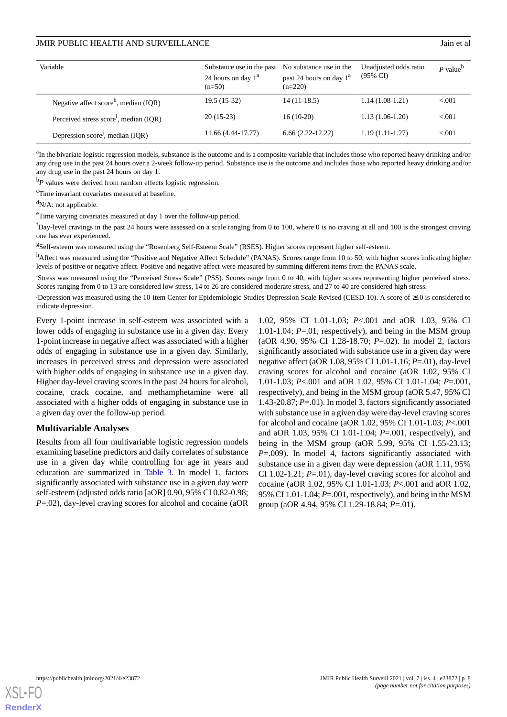| Variable                                           | Substance use in the past No substance use in the<br>24 hours on day $1a$<br>$(n=50)$ | past 24 hours on day $1^a$<br>$(n=220)$ | Unadjusted odds ratio<br>$(95\% \text{ CI})$ | $P$ value <sup>b</sup> |
|----------------------------------------------------|---------------------------------------------------------------------------------------|-----------------------------------------|----------------------------------------------|------------------------|
| Negative affect score <sup>h</sup> , median (IQR)  | 19.5 (15-32)                                                                          | $14(11-18.5)$                           | $1.14(1.08-1.21)$                            | < 0.01                 |
| Perceived stress score <sup>1</sup> , median (IQR) | $20(15-23)$                                                                           | $16(10-20)$                             | $1.13(1.06-1.20)$                            | < 0.01                 |
| Depression score <sup>j</sup> , median (IQR)       | 11.66 (4.44-17.77)                                                                    | $6.66(2.22-12.22)$                      | $1.19(1.11-1.27)$                            | < 0.01                 |

<sup>a</sup>In the bivariate logistic regression models, substance is the outcome and is a composite variable that includes those who reported heavy drinking and/or any drug use in the past 24 hours over a 2-week follow-up period. Substance use is the outcome and includes those who reported heavy drinking and/or any drug use in the past 24 hours on day 1.

<sup>b</sup>*P* values were derived from random effects logistic regression.

<sup>c</sup>Time invariant covariates measured at baseline.

 $dN/A$ : not applicable.

<sup>e</sup>Time varying covariates measured at day 1 over the follow-up period.

 $<sup>f</sup>$ Day-level cravings in the past 24 hours were assessed on a scale ranging from 0 to 100, where 0 is no craving at all and 100 is the strongest craving</sup> one has ever experienced.

<sup>g</sup>Self-esteem was measured using the "Rosenberg Self-Esteem Scale" (RSES). Higher scores represent higher self-esteem.

hAffect was measured using the "Positive and Negative Affect Schedule" (PANAS). Scores range from 10 to 50, with higher scores indicating higher levels of positive or negative affect. Positive and negative affect were measured by summing different items from the PANAS scale.

<sup>i</sup>Stress was measured using the "Perceived Stress Scale" (PSS). Scores range from 0 to 40, with higher scores representing higher perceived stress. Scores ranging from 0 to 13 are considered low stress, 14 to 26 are considered moderate stress, and 27 to 40 are considered high stress.

<sup>j</sup>Depression was measured using the 10-item Center for Epidemiologic Studies Depression Scale Revised (CESD-10). A score of ≥10 is considered to indicate depression.

Every 1-point increase in self-esteem was associated with a lower odds of engaging in substance use in a given day. Every 1-point increase in negative affect was associated with a higher odds of engaging in substance use in a given day. Similarly, increases in perceived stress and depression were associated with higher odds of engaging in substance use in a given day. Higher day-level craving scores in the past 24 hours for alcohol, cocaine, crack cocaine, and methamphetamine were all associated with a higher odds of engaging in substance use in a given day over the follow-up period.

#### **Multivariable Analyses**

Results from all four multivariable logistic regression models examining baseline predictors and daily correlates of substance use in a given day while controlling for age in years and education are summarized in [Table 3.](#page-8-0) In model 1, factors significantly associated with substance use in a given day were self-esteem (adjusted odds ratio [aOR] 0.90, 95% CI 0.82-0.98; *P*=.02), day-level craving scores for alcohol and cocaine (aOR 1.02, 95% CI 1.01-1.03; *P*<.001 and aOR 1.03, 95% CI 1.01-1.04; *P*=.01, respectively), and being in the MSM group (aOR 4.90, 95% CI 1.28-18.70; *P*=.02). In model 2, factors significantly associated with substance use in a given day were negative affect (aOR 1.08, 95% CI 1.01-1.16; *P*=.01), day-level craving scores for alcohol and cocaine (aOR 1.02, 95% CI 1.01-1.03; *P*<.001 and aOR 1.02, 95% CI 1.01-1.04; *P*=.001, respectively), and being in the MSM group (aOR 5.47, 95% CI 1.43-20.87; *P*=.01). In model 3, factors significantly associated with substance use in a given day were day-level craving scores for alcohol and cocaine (aOR 1.02, 95% CI 1.01-1.03; *P*<.001 and aOR 1.03, 95% CI 1.01-1.04; *P*=.001, respectively), and being in the MSM group (aOR 5.99, 95% CI 1.55-23.13; *P*=.009). In model 4, factors significantly associated with substance use in a given day were depression (aOR 1.11, 95% CI 1.02-1.21; *P*=.01), day-level craving scores for alcohol and cocaine (aOR 1.02, 95% CI 1.01-1.03; *P*<.001 and aOR 1.02, 95% CI 1.01-1.04; *P*=.001, respectively), and being in the MSM group (aOR 4.94, 95% CI 1.29-18.84; *P*=.01).

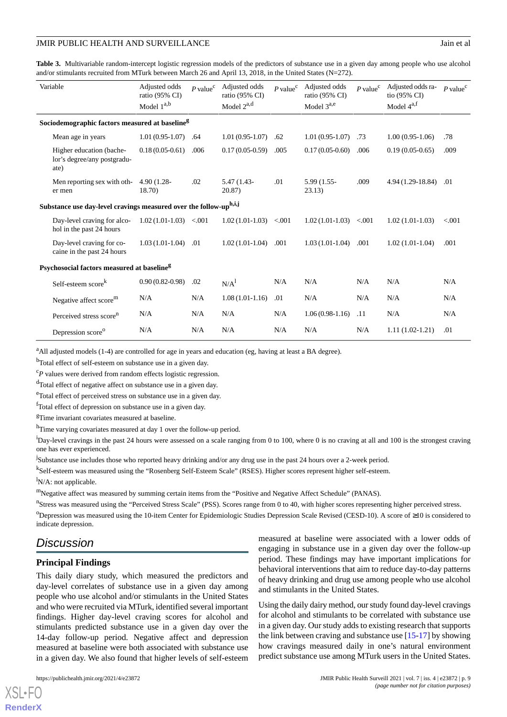<span id="page-8-0"></span>**Table 3.** Multivariable random-intercept logistic regression models of the predictors of substance use in a given day among people who use alcohol and/or stimulants recruited from MTurk between March 26 and April 13, 2018, in the United States (N=272).

|                                                                   | Variable                                                        | Adjusted odds<br>ratio (95% CI)<br>Model $1^{a,b}$ | $P$ value <sup><math>c</math></sup> | Adjusted odds<br>ratio (95% CI)<br>Model $2^{a,d}$ | $P$ value <sup>c</sup> | Adjusted odds<br>ratio (95% CI)<br>Model $3^{a,e}$ | $P$ value <sup><math>c</math></sup> | Adjusted odds ra-<br>tio (95% CI)<br>Model 4 <sup>a,f</sup> | $P$ value <sup>c</sup> |
|-------------------------------------------------------------------|-----------------------------------------------------------------|----------------------------------------------------|-------------------------------------|----------------------------------------------------|------------------------|----------------------------------------------------|-------------------------------------|-------------------------------------------------------------|------------------------|
| Sociodemographic factors measured at baseline <sup>g</sup>        |                                                                 |                                                    |                                     |                                                    |                        |                                                    |                                     |                                                             |                        |
|                                                                   | Mean age in years                                               | $1.01(0.95-1.07)$                                  | .64                                 | $1.01(0.95-1.07)$                                  | .62                    | $1.01(0.95-1.07)$                                  | .73                                 | $1.00(0.95-1.06)$                                           | .78                    |
|                                                                   | Higher education (bache-<br>lor's degree/any postgradu-<br>ate) | $0.18(0.05-0.61)$                                  | .006                                | $0.17(0.05-0.59)$                                  | .005                   | $0.17(0.05-0.60)$                                  | .006                                | $0.19(0.05-0.65)$                                           | .009                   |
|                                                                   | Men reporting sex with oth-<br>er men                           | $4.90(1.28 -$<br>18.70)                            | .02                                 | 5.47 (1.43-<br>20.87)                              | .01                    | 5.99 (1.55-<br>23.13)                              | .009                                | $4.94(1.29-18.84)$                                          | .01                    |
| Substance use day-level cravings measured over the follow-uph,i,j |                                                                 |                                                    |                                     |                                                    |                        |                                                    |                                     |                                                             |                        |
|                                                                   | Day-level craving for alco-<br>hol in the past 24 hours         | $1.02(1.01-1.03)$ <.001                            |                                     | $1.02(1.01-1.03)$                                  | < 0.001                | $1.02(1.01-1.03)$                                  | < 0.001                             | $1.02(1.01-1.03)$                                           | < 0.001                |
|                                                                   | Day-level craving for co-<br>caine in the past 24 hours         | $1.03(1.01-1.04)$                                  | .01                                 | $1.02(1.01-1.04)$                                  | .001                   | $1.03(1.01-1.04)$                                  | .001                                | $1.02(1.01-1.04)$                                           | .001                   |
| Psychosocial factors measured at baseline <sup>g</sup>            |                                                                 |                                                    |                                     |                                                    |                        |                                                    |                                     |                                                             |                        |
|                                                                   | Self-esteem score <sup>k</sup>                                  | $0.90(0.82 - 0.98)$                                | .02                                 | N/A <sup>1</sup>                                   | N/A                    | N/A                                                | N/A                                 | N/A                                                         | N/A                    |
|                                                                   | Negative affect score <sup>m</sup>                              | N/A                                                | N/A                                 | $1.08(1.01-1.16)$                                  | .01                    | N/A                                                | N/A                                 | N/A                                                         | N/A                    |
|                                                                   | Perceived stress score <sup>n</sup>                             | N/A                                                | N/A                                 | N/A                                                | N/A                    | $1.06(0.98-1.16)$                                  | .11                                 | N/A                                                         | N/A                    |
|                                                                   | Depression score <sup>o</sup>                                   | N/A                                                | N/A                                 | N/A                                                | N/A                    | N/A                                                | N/A                                 | $1.11(1.02-1.21)$                                           | .01                    |

<sup>a</sup>All adjusted models (1-4) are controlled for age in years and education (eg, having at least a BA degree).

<sup>b</sup>Total effect of self-esteem on substance use in a given day.

 $c_P$  values were derived from random effects logistic regression.

<sup>d</sup>Total effect of negative affect on substance use in a given day.

<sup>e</sup>Total effect of perceived stress on substance use in a given day.

<sup>f</sup>Total effect of depression on substance use in a given day.

<sup>g</sup>Time invariant covariates measured at baseline.

hTime varying covariates measured at day 1 over the follow-up period.

 $^{1}$ Day-level cravings in the past 24 hours were assessed on a scale ranging from 0 to 100, where 0 is no craving at all and 100 is the strongest craving one has ever experienced.

<sup>j</sup>Substance use includes those who reported heavy drinking and/or any drug use in the past 24 hours over a 2-week period.

<sup>k</sup>Self-esteem was measured using the "Rosenberg Self-Esteem Scale" (RSES). Higher scores represent higher self-esteem.  $\mathrm{^{1}N/A:}$  not applicable.

<sup>m</sup>Negative affect was measured by summing certain items from the "Positive and Negative Affect Schedule" (PANAS).

<sup>n</sup>Stress was measured using the "Perceived Stress Scale" (PSS). Scores range from 0 to 40, with higher scores representing higher perceived stress.

<sup>o</sup>Depression was measured using the 10-item Center for Epidemiologic Studies Depression Scale Revised (CESD-10). A score of ≥10 is considered to indicate depression.

# *Discussion*

#### **Principal Findings**

This daily diary study, which measured the predictors and day-level correlates of substance use in a given day among people who use alcohol and/or stimulants in the United States and who were recruited via MTurk, identified several important findings. Higher day-level craving scores for alcohol and stimulants predicted substance use in a given day over the 14-day follow-up period. Negative affect and depression measured at baseline were both associated with substance use in a given day. We also found that higher levels of self-esteem

[XSL](http://www.w3.org/Style/XSL)•FO **[RenderX](http://www.renderx.com/)**

measured at baseline were associated with a lower odds of engaging in substance use in a given day over the follow-up period. These findings may have important implications for behavioral interventions that aim to reduce day-to-day patterns of heavy drinking and drug use among people who use alcohol and stimulants in the United States.

Using the daily dairy method, our study found day-level cravings for alcohol and stimulants to be correlated with substance use in a given day. Our study adds to existing research that supports the link between craving and substance use [\[15](#page-11-2)-[17\]](#page-11-4) by showing how cravings measured daily in one's natural environment predict substance use among MTurk users in the United States.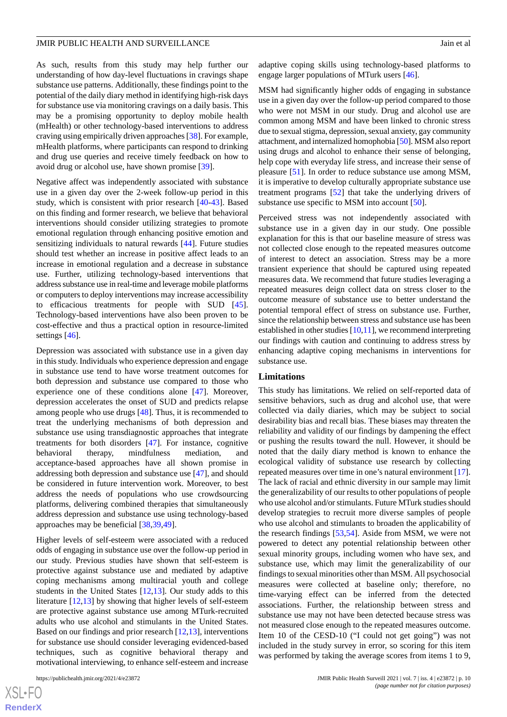As such, results from this study may help further our understanding of how day-level fluctuations in cravings shape substance use patterns. Additionally, these findings point to the potential of the daily diary method in identifying high-risk days for substance use via monitoring cravings on a daily basis. This may be a promising opportunity to deploy mobile health (mHealth) or other technology-based interventions to address craving using empirically driven approaches [\[38](#page-12-2)]. For example, mHealth platforms, where participants can respond to drinking and drug use queries and receive timely feedback on how to avoid drug or alcohol use, have shown promise [\[39](#page-12-3)].

Negative affect was independently associated with substance use in a given day over the 2-week follow-up period in this study, which is consistent with prior research [[40-](#page-12-4)[43\]](#page-12-5). Based on this finding and former research, we believe that behavioral interventions should consider utilizing strategies to promote emotional regulation through enhancing positive emotion and sensitizing individuals to natural rewards [[44\]](#page-12-6). Future studies should test whether an increase in positive affect leads to an increase in emotional regulation and a decrease in substance use. Further, utilizing technology-based interventions that address substance use in real-time and leverage mobile platforms or computers to deploy interventions may increase accessibility to efficacious treatments for people with SUD [[45\]](#page-12-7). Technology-based interventions have also been proven to be cost-effective and thus a practical option in resource-limited settings [[46\]](#page-12-8).

Depression was associated with substance use in a given day in this study. Individuals who experience depression and engage in substance use tend to have worse treatment outcomes for both depression and substance use compared to those who experience one of these conditions alone [\[47](#page-12-9)]. Moreover, depression accelerates the onset of SUD and predicts relapse among people who use drugs [[48\]](#page-12-10). Thus, it is recommended to treat the underlying mechanisms of both depression and substance use using transdiagnostic approaches that integrate treatments for both disorders [\[47](#page-12-9)]. For instance, cognitive behavioral therapy, mindfulness mediation, and acceptance-based approaches have all shown promise in addressing both depression and substance use [[47\]](#page-12-9), and should be considered in future intervention work. Moreover, to best address the needs of populations who use crowdsourcing platforms, delivering combined therapies that simultaneously address depression and substance use using technology-based approaches may be beneficial [[38,](#page-12-2)[39](#page-12-3),[49\]](#page-12-11).

Higher levels of self-esteem were associated with a reduced odds of engaging in substance use over the follow-up period in our study. Previous studies have shown that self-esteem is protective against substance use and mediated by adaptive coping mechanisms among multiracial youth and college students in the United States [[12,](#page-10-9)[13](#page-11-0)]. Our study adds to this literature [[12](#page-10-9)[,13](#page-11-0)] by showing that higher levels of self-esteem are protective against substance use among MTurk-recruited adults who use alcohol and stimulants in the United States. Based on our findings and prior research [\[12](#page-10-9),[13\]](#page-11-0), interventions for substance use should consider leveraging evidenced-based techniques, such as cognitive behavioral therapy and motivational interviewing, to enhance self-esteem and increase

adaptive coping skills using technology-based platforms to engage larger populations of MTurk users [[46\]](#page-12-8).

MSM had significantly higher odds of engaging in substance use in a given day over the follow-up period compared to those who were not MSM in our study. Drug and alcohol use are common among MSM and have been linked to chronic stress due to sexual stigma, depression, sexual anxiety, gay community attachment, and internalized homophobia [\[50](#page-12-12)]. MSM also report using drugs and alcohol to enhance their sense of belonging, help cope with everyday life stress, and increase their sense of pleasure [\[51](#page-12-13)]. In order to reduce substance use among MSM, it is imperative to develop culturally appropriate substance use treatment programs [\[52](#page-12-14)] that take the underlying drivers of substance use specific to MSM into account [\[50](#page-12-12)].

Perceived stress was not independently associated with substance use in a given day in our study. One possible explanation for this is that our baseline measure of stress was not collected close enough to the repeated measures outcome of interest to detect an association. Stress may be a more transient experience that should be captured using repeated measures data. We recommend that future studies leveraging a repeated measures deign collect data on stress closer to the outcome measure of substance use to better understand the potential temporal effect of stress on substance use. Further, since the relationship between stress and substance use has been established in other studies [\[10](#page-10-7),[11](#page-10-8)], we recommend interpreting our findings with caution and continuing to address stress by enhancing adaptive coping mechanisms in interventions for substance use.

#### **Limitations**

This study has limitations. We relied on self-reported data of sensitive behaviors, such as drug and alcohol use, that were collected via daily diaries, which may be subject to social desirability bias and recall bias. These biases may threaten the reliability and validity of our findings by dampening the effect or pushing the results toward the null. However, it should be noted that the daily diary method is known to enhance the ecological validity of substance use research by collecting repeated measures over time in one's natural environment [[17\]](#page-11-4). The lack of racial and ethnic diversity in our sample may limit the generalizability of our results to other populations of people who use alcohol and/or stimulants. Future MTurk studies should develop strategies to recruit more diverse samples of people who use alcohol and stimulants to broaden the applicability of the research findings [\[53](#page-12-15)[,54](#page-12-16)]. Aside from MSM, we were not powered to detect any potential relationship between other sexual minority groups, including women who have sex, and substance use, which may limit the generalizability of our findings to sexual minorities other than MSM. All psychosocial measures were collected at baseline only; therefore, no time-varying effect can be inferred from the detected associations. Further, the relationship between stress and substance use may not have been detected because stress was not measured close enough to the repeated measures outcome. Item 10 of the CESD-10 ("I could not get going") was not included in the study survey in error, so scoring for this item was performed by taking the average scores from items 1 to 9,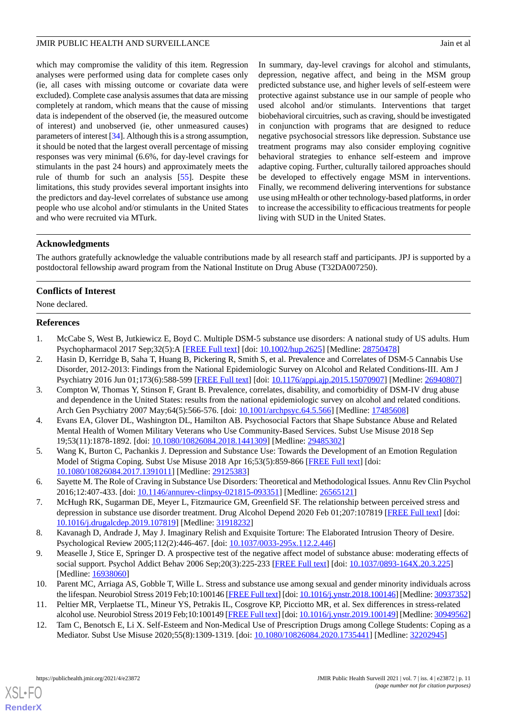which may compromise the validity of this item. Regression analyses were performed using data for complete cases only (ie, all cases with missing outcome or covariate data were excluded). Complete case analysis assumes that data are missing completely at random, which means that the cause of missing data is independent of the observed (ie, the measured outcome of interest) and unobserved (ie, other unmeasured causes) parameters of interest [\[34](#page-11-20)]. Although this is a strong assumption, it should be noted that the largest overall percentage of missing responses was very minimal (6.6%, for day-level cravings for stimulants in the past 24 hours) and approximately meets the rule of thumb for such an analysis [[55\]](#page-12-17). Despite these limitations, this study provides several important insights into the predictors and day-level correlates of substance use among people who use alcohol and/or stimulants in the United States and who were recruited via MTurk.

In summary, day-level cravings for alcohol and stimulants, depression, negative affect, and being in the MSM group predicted substance use, and higher levels of self-esteem were protective against substance use in our sample of people who used alcohol and/or stimulants. Interventions that target biobehavioral circuitries, such as craving, should be investigated in conjunction with programs that are designed to reduce negative psychosocial stressors like depression. Substance use treatment programs may also consider employing cognitive behavioral strategies to enhance self-esteem and improve adaptive coping. Further, culturally tailored approaches should be developed to effectively engage MSM in interventions. Finally, we recommend delivering interventions for substance use using mHealth or other technology-based platforms, in order to increase the accessibility to efficacious treatments for people living with SUD in the United States.

# **Acknowledgments**

The authors gratefully acknowledge the valuable contributions made by all research staff and participants. JPJ is supported by a postdoctoral fellowship award program from the National Institute on Drug Abuse (T32DA007250).

# **Conflicts of Interest**

<span id="page-10-0"></span>None declared.

# **References**

- 1. McCabe S, West B, Jutkiewicz E, Boyd C. Multiple DSM-5 substance use disorders: A national study of US adults. Hum Psychopharmacol 2017 Sep;32(5):A [[FREE Full text](http://europepmc.org/abstract/MED/28750478)] [doi: [10.1002/hup.2625](http://dx.doi.org/10.1002/hup.2625)] [Medline: [28750478](http://www.ncbi.nlm.nih.gov/entrez/query.fcgi?cmd=Retrieve&db=PubMed&list_uids=28750478&dopt=Abstract)]
- <span id="page-10-1"></span>2. Hasin D, Kerridge B, Saha T, Huang B, Pickering R, Smith S, et al. Prevalence and Correlates of DSM-5 Cannabis Use Disorder, 2012-2013: Findings from the National Epidemiologic Survey on Alcohol and Related Conditions-III. Am J Psychiatry 2016 Jun 01;173(6):588-599 [[FREE Full text\]](http://europepmc.org/abstract/MED/26940807) [doi: [10.1176/appi.ajp.2015.15070907](http://dx.doi.org/10.1176/appi.ajp.2015.15070907)] [Medline: [26940807](http://www.ncbi.nlm.nih.gov/entrez/query.fcgi?cmd=Retrieve&db=PubMed&list_uids=26940807&dopt=Abstract)]
- <span id="page-10-2"></span>3. Compton W, Thomas Y, Stinson F, Grant B. Prevalence, correlates, disability, and comorbidity of DSM-IV drug abuse and dependence in the United States: results from the national epidemiologic survey on alcohol and related conditions. Arch Gen Psychiatry 2007 May;64(5):566-576. [doi: [10.1001/archpsyc.64.5.566\]](http://dx.doi.org/10.1001/archpsyc.64.5.566) [Medline: [17485608\]](http://www.ncbi.nlm.nih.gov/entrez/query.fcgi?cmd=Retrieve&db=PubMed&list_uids=17485608&dopt=Abstract)
- <span id="page-10-3"></span>4. Evans EA, Glover DL, Washington DL, Hamilton AB. Psychosocial Factors that Shape Substance Abuse and Related Mental Health of Women Military Veterans who Use Community-Based Services. Subst Use Misuse 2018 Sep 19;53(11):1878-1892. [doi: [10.1080/10826084.2018.1441309\]](http://dx.doi.org/10.1080/10826084.2018.1441309) [Medline: [29485302\]](http://www.ncbi.nlm.nih.gov/entrez/query.fcgi?cmd=Retrieve&db=PubMed&list_uids=29485302&dopt=Abstract)
- <span id="page-10-4"></span>5. Wang K, Burton C, Pachankis J. Depression and Substance Use: Towards the Development of an Emotion Regulation Model of Stigma Coping. Subst Use Misuse 2018 Apr 16;53(5):859-866 [\[FREE Full text\]](http://europepmc.org/abstract/MED/29125383) [doi: [10.1080/10826084.2017.1391011\]](http://dx.doi.org/10.1080/10826084.2017.1391011) [Medline: [29125383\]](http://www.ncbi.nlm.nih.gov/entrez/query.fcgi?cmd=Retrieve&db=PubMed&list_uids=29125383&dopt=Abstract)
- <span id="page-10-5"></span>6. Sayette M. The Role of Craving in Substance Use Disorders: Theoretical and Methodological Issues. Annu Rev Clin Psychol 2016;12:407-433. [doi: [10.1146/annurev-clinpsy-021815-093351\]](http://dx.doi.org/10.1146/annurev-clinpsy-021815-093351) [Medline: [26565121\]](http://www.ncbi.nlm.nih.gov/entrez/query.fcgi?cmd=Retrieve&db=PubMed&list_uids=26565121&dopt=Abstract)
- <span id="page-10-6"></span>7. McHugh RK, Sugarman DE, Meyer L, Fitzmaurice GM, Greenfield SF. The relationship between perceived stress and depression in substance use disorder treatment. Drug Alcohol Depend 2020 Feb 01;207:107819 [\[FREE Full text\]](http://europepmc.org/abstract/MED/31918232) [doi: [10.1016/j.drugalcdep.2019.107819](http://dx.doi.org/10.1016/j.drugalcdep.2019.107819)] [Medline: [31918232](http://www.ncbi.nlm.nih.gov/entrez/query.fcgi?cmd=Retrieve&db=PubMed&list_uids=31918232&dopt=Abstract)]
- <span id="page-10-7"></span>8. Kavanagh D, Andrade J, May J. Imaginary Relish and Exquisite Torture: The Elaborated Intrusion Theory of Desire. Psychological Review 2005;112(2):446-467. [doi: [10.1037/0033-295x.112.2.446\]](http://dx.doi.org/10.1037/0033-295x.112.2.446)
- <span id="page-10-9"></span><span id="page-10-8"></span>9. Measelle J, Stice E, Springer D. A prospective test of the negative affect model of substance abuse: moderating effects of social support. Psychol Addict Behav 2006 Sep;20(3):225-233 [[FREE Full text](http://europepmc.org/abstract/MED/16938060)] [doi: [10.1037/0893-164X.20.3.225\]](http://dx.doi.org/10.1037/0893-164X.20.3.225) [Medline: [16938060](http://www.ncbi.nlm.nih.gov/entrez/query.fcgi?cmd=Retrieve&db=PubMed&list_uids=16938060&dopt=Abstract)]
- 10. Parent MC, Arriaga AS, Gobble T, Wille L. Stress and substance use among sexual and gender minority individuals across the lifespan. Neurobiol Stress 2019 Feb;10:100146 [\[FREE Full text\]](https://linkinghub.elsevier.com/retrieve/pii/S2352-2895(18)30023-7) [doi: [10.1016/j.ynstr.2018.100146\]](http://dx.doi.org/10.1016/j.ynstr.2018.100146) [Medline: [30937352\]](http://www.ncbi.nlm.nih.gov/entrez/query.fcgi?cmd=Retrieve&db=PubMed&list_uids=30937352&dopt=Abstract)
- 11. Peltier MR, Verplaetse TL, Mineur YS, Petrakis IL, Cosgrove KP, Picciotto MR, et al. Sex differences in stress-related alcohol use. Neurobiol Stress 2019 Feb;10:100149 [[FREE Full text](https://linkinghub.elsevier.com/retrieve/pii/S2352-2895(18)30072-9)] [doi: [10.1016/j.ynstr.2019.100149](http://dx.doi.org/10.1016/j.ynstr.2019.100149)] [Medline: [30949562\]](http://www.ncbi.nlm.nih.gov/entrez/query.fcgi?cmd=Retrieve&db=PubMed&list_uids=30949562&dopt=Abstract)
- 12. Tam C, Benotsch E, Li X. Self-Esteem and Non-Medical Use of Prescription Drugs among College Students: Coping as a Mediator. Subst Use Misuse 2020;55(8):1309-1319. [doi: [10.1080/10826084.2020.1735441](http://dx.doi.org/10.1080/10826084.2020.1735441)] [Medline: [32202945\]](http://www.ncbi.nlm.nih.gov/entrez/query.fcgi?cmd=Retrieve&db=PubMed&list_uids=32202945&dopt=Abstract)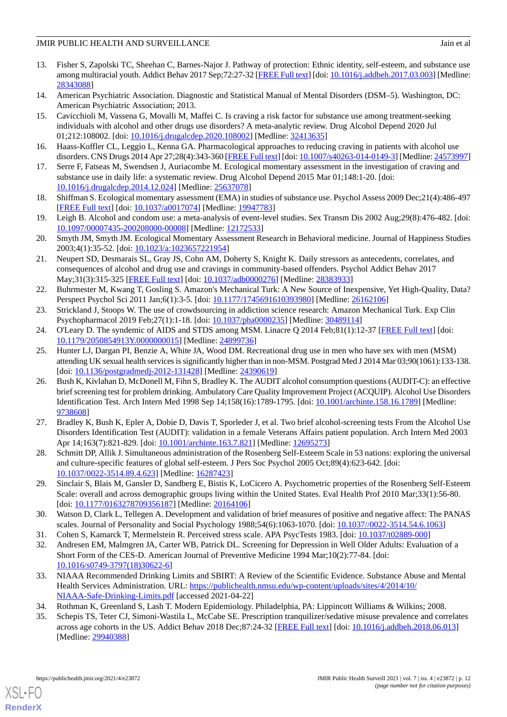- <span id="page-11-0"></span>13. Fisher S, Zapolski TC, Sheehan C, Barnes-Najor J. Pathway of protection: Ethnic identity, self-esteem, and substance use among multiracial youth. Addict Behav 2017 Sep;72:27-32 [\[FREE Full text](http://europepmc.org/abstract/MED/28343088)] [doi: [10.1016/j.addbeh.2017.03.003](http://dx.doi.org/10.1016/j.addbeh.2017.03.003)] [Medline: [28343088](http://www.ncbi.nlm.nih.gov/entrez/query.fcgi?cmd=Retrieve&db=PubMed&list_uids=28343088&dopt=Abstract)]
- <span id="page-11-2"></span><span id="page-11-1"></span>14. American Psychiatric Association. Diagnostic and Statistical Manual of Mental Disorders (DSM–5). Washington, DC: American Psychiatric Association; 2013.
- 15. Cavicchioli M, Vassena G, Movalli M, Maffei C. Is craving a risk factor for substance use among treatment-seeking individuals with alcohol and other drugs use disorders? A meta-analytic review. Drug Alcohol Depend 2020 Jul 01;212:108002. [doi: [10.1016/j.drugalcdep.2020.108002](http://dx.doi.org/10.1016/j.drugalcdep.2020.108002)] [Medline: [32413635](http://www.ncbi.nlm.nih.gov/entrez/query.fcgi?cmd=Retrieve&db=PubMed&list_uids=32413635&dopt=Abstract)]
- <span id="page-11-4"></span><span id="page-11-3"></span>16. Haass-Koffler CL, Leggio L, Kenna GA. Pharmacological approaches to reducing craving in patients with alcohol use disorders. CNS Drugs 2014 Apr 27;28(4):343-360 [[FREE Full text](http://europepmc.org/abstract/MED/24573997)] [doi: [10.1007/s40263-014-0149-3](http://dx.doi.org/10.1007/s40263-014-0149-3)] [Medline: [24573997\]](http://www.ncbi.nlm.nih.gov/entrez/query.fcgi?cmd=Retrieve&db=PubMed&list_uids=24573997&dopt=Abstract)
- <span id="page-11-5"></span>17. Serre F, Fatseas M, Swendsen J, Auriacombe M. Ecological momentary assessment in the investigation of craving and substance use in daily life: a systematic review. Drug Alcohol Depend 2015 Mar 01;148:1-20. [doi: [10.1016/j.drugalcdep.2014.12.024\]](http://dx.doi.org/10.1016/j.drugalcdep.2014.12.024) [Medline: [25637078\]](http://www.ncbi.nlm.nih.gov/entrez/query.fcgi?cmd=Retrieve&db=PubMed&list_uids=25637078&dopt=Abstract)
- 18. Shiffman S. Ecological momentary assessment (EMA) in studies of substance use. Psychol Assess 2009 Dec;21(4):486-497 [[FREE Full text](http://europepmc.org/abstract/MED/19947783)] [doi: [10.1037/a0017074](http://dx.doi.org/10.1037/a0017074)] [Medline: [19947783\]](http://www.ncbi.nlm.nih.gov/entrez/query.fcgi?cmd=Retrieve&db=PubMed&list_uids=19947783&dopt=Abstract)
- <span id="page-11-6"></span>19. Leigh B. Alcohol and condom use: a meta-analysis of event-level studies. Sex Transm Dis 2002 Aug;29(8):476-482. [doi: [10.1097/00007435-200208000-00008](http://dx.doi.org/10.1097/00007435-200208000-00008)] [Medline: [12172533](http://www.ncbi.nlm.nih.gov/entrez/query.fcgi?cmd=Retrieve&db=PubMed&list_uids=12172533&dopt=Abstract)]
- <span id="page-11-7"></span>20. Smyth JM, Smyth JM. Ecological Momentary Assessment Research in Behavioral medicine. Journal of Happiness Studies 2003;4(1):35-52. [doi: [10.1023/a:1023657221954\]](http://dx.doi.org/10.1023/a:1023657221954)
- <span id="page-11-8"></span>21. Neupert SD, Desmarais SL, Gray JS, Cohn AM, Doherty S, Knight K. Daily stressors as antecedents, correlates, and consequences of alcohol and drug use and cravings in community-based offenders. Psychol Addict Behav 2017 May;31(3):315-325 [\[FREE Full text\]](http://europepmc.org/abstract/MED/28383933) [doi: [10.1037/adb0000276\]](http://dx.doi.org/10.1037/adb0000276) [Medline: [28383933](http://www.ncbi.nlm.nih.gov/entrez/query.fcgi?cmd=Retrieve&db=PubMed&list_uids=28383933&dopt=Abstract)]
- <span id="page-11-10"></span><span id="page-11-9"></span>22. Buhrmester M, Kwang T, Gosling S. Amazon's Mechanical Turk: A New Source of Inexpensive, Yet High-Quality, Data? Perspect Psychol Sci 2011 Jan;6(1):3-5. [doi: [10.1177/1745691610393980](http://dx.doi.org/10.1177/1745691610393980)] [Medline: [26162106](http://www.ncbi.nlm.nih.gov/entrez/query.fcgi?cmd=Retrieve&db=PubMed&list_uids=26162106&dopt=Abstract)]
- <span id="page-11-11"></span>23. Strickland J, Stoops W. The use of crowdsourcing in addiction science research: Amazon Mechanical Turk. Exp Clin Psychopharmacol 2019 Feb;27(1):1-18. [doi: [10.1037/pha0000235](http://dx.doi.org/10.1037/pha0000235)] [Medline: [30489114](http://www.ncbi.nlm.nih.gov/entrez/query.fcgi?cmd=Retrieve&db=PubMed&list_uids=30489114&dopt=Abstract)]
- 24. O'Leary D. The syndemic of AIDS and STDS among MSM. Linacre Q 2014 Feb;81(1):12-37 [[FREE Full text](http://europepmc.org/abstract/MED/24899736)] [doi: [10.1179/2050854913Y.0000000015](http://dx.doi.org/10.1179/2050854913Y.0000000015)] [Medline: [24899736](http://www.ncbi.nlm.nih.gov/entrez/query.fcgi?cmd=Retrieve&db=PubMed&list_uids=24899736&dopt=Abstract)]
- <span id="page-11-12"></span>25. Hunter LJ, Dargan PI, Benzie A, White JA, Wood DM. Recreational drug use in men who have sex with men (MSM) attending UK sexual health services is significantly higher than in non-MSM. Postgrad Med J 2014 Mar 03;90(1061):133-138. [doi: [10.1136/postgradmedj-2012-131428](http://dx.doi.org/10.1136/postgradmedj-2012-131428)] [Medline: [24390619](http://www.ncbi.nlm.nih.gov/entrez/query.fcgi?cmd=Retrieve&db=PubMed&list_uids=24390619&dopt=Abstract)]
- <span id="page-11-13"></span>26. Bush K, Kivlahan D, McDonell M, Fihn S, Bradley K. The AUDIT alcohol consumption questions (AUDIT-C): an effective brief screening test for problem drinking. Ambulatory Care Quality Improvement Project (ACQUIP). Alcohol Use Disorders Identification Test. Arch Intern Med 1998 Sep 14;158(16):1789-1795. [doi: [10.1001/archinte.158.16.1789\]](http://dx.doi.org/10.1001/archinte.158.16.1789) [Medline: [9738608\]](http://www.ncbi.nlm.nih.gov/entrez/query.fcgi?cmd=Retrieve&db=PubMed&list_uids=9738608&dopt=Abstract)
- <span id="page-11-15"></span><span id="page-11-14"></span>27. Bradley K, Bush K, Epler A, Dobie D, Davis T, Sporleder J, et al. Two brief alcohol-screening tests From the Alcohol Use Disorders Identification Test (AUDIT): validation in a female Veterans Affairs patient population. Arch Intern Med 2003 Apr 14;163(7):821-829. [doi: [10.1001/archinte.163.7.821](http://dx.doi.org/10.1001/archinte.163.7.821)] [Medline: [12695273](http://www.ncbi.nlm.nih.gov/entrez/query.fcgi?cmd=Retrieve&db=PubMed&list_uids=12695273&dopt=Abstract)]
- <span id="page-11-16"></span>28. Schmitt DP, Allik J. Simultaneous administration of the Rosenberg Self-Esteem Scale in 53 nations: exploring the universal and culture-specific features of global self-esteem. J Pers Soc Psychol 2005 Oct;89(4):623-642. [doi: [10.1037/0022-3514.89.4.623\]](http://dx.doi.org/10.1037/0022-3514.89.4.623) [Medline: [16287423](http://www.ncbi.nlm.nih.gov/entrez/query.fcgi?cmd=Retrieve&db=PubMed&list_uids=16287423&dopt=Abstract)]
- <span id="page-11-18"></span><span id="page-11-17"></span>29. Sinclair S, Blais M, Gansler D, Sandberg E, Bistis K, LoCicero A. Psychometric properties of the Rosenberg Self-Esteem Scale: overall and across demographic groups living within the United States. Eval Health Prof 2010 Mar;33(1):56-80. [doi: [10.1177/0163278709356187](http://dx.doi.org/10.1177/0163278709356187)] [Medline: [20164106\]](http://www.ncbi.nlm.nih.gov/entrez/query.fcgi?cmd=Retrieve&db=PubMed&list_uids=20164106&dopt=Abstract)
- <span id="page-11-19"></span>30. Watson D, Clark L, Tellegen A. Development and validation of brief measures of positive and negative affect: The PANAS scales. Journal of Personality and Social Psychology 1988;54(6):1063-1070. [doi: [10.1037//0022-3514.54.6.1063](http://dx.doi.org/10.1037//0022-3514.54.6.1063)]
- 31. Cohen S, Kamarck T, Mermelstein R. Perceived stress scale. APA PsycTests 1983. [doi: [10.1037/t02889-000](http://dx.doi.org/10.1037/t02889-000)]
- <span id="page-11-21"></span><span id="page-11-20"></span>32. Andresen EM, Malmgren JA, Carter WB, Patrick DL. Screening for Depression in Well Older Adults: Evaluation of a Short Form of the CES-D. American Journal of Preventive Medicine 1994 Mar;10(2):77-84. [doi: [10.1016/s0749-3797\(18\)30622-6](http://dx.doi.org/10.1016/s0749-3797(18)30622-6)]
- 33. NIAAA Recommended Drinking Limits and SBIRT: A Review of the Scientific Evidence. Substance Abuse and Mental Health Services Administration. URL: [https://publichealth.nmsu.edu/wp-content/uploads/sites/4/2014/10/](https://publichealth.nmsu.edu/wp-content/uploads/sites/4/2014/10/NIAAA-Safe-Drinking-Limits.pdf) [NIAAA-Safe-Drinking-Limits.pdf](https://publichealth.nmsu.edu/wp-content/uploads/sites/4/2014/10/NIAAA-Safe-Drinking-Limits.pdf) [accessed 2021-04-22]
- 34. Rothman K, Greenland S, Lash T. Modern Epidemiology. Philadelphia, PA: Lippincott Williams & Wilkins; 2008.
- 35. Schepis TS, Teter CJ, Simoni-Wastila L, McCabe SE. Prescription tranquilizer/sedative misuse prevalence and correlates across age cohorts in the US. Addict Behav 2018 Dec;87:24-32 [[FREE Full text](http://europepmc.org/abstract/MED/29940388)] [doi: [10.1016/j.addbeh.2018.06.013\]](http://dx.doi.org/10.1016/j.addbeh.2018.06.013) [Medline: [29940388](http://www.ncbi.nlm.nih.gov/entrez/query.fcgi?cmd=Retrieve&db=PubMed&list_uids=29940388&dopt=Abstract)]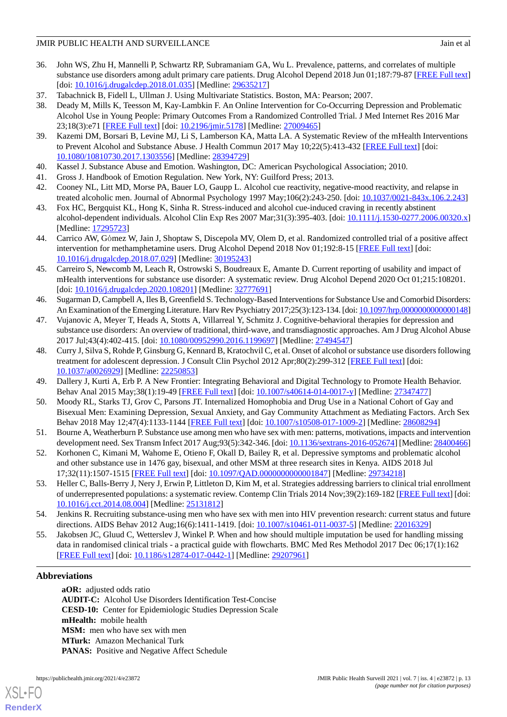- <span id="page-12-0"></span>36. John WS, Zhu H, Mannelli P, Schwartz RP, Subramaniam GA, Wu L. Prevalence, patterns, and correlates of multiple substance use disorders among adult primary care patients. Drug Alcohol Depend 2018 Jun 01;187:79-87 [[FREE Full text](http://europepmc.org/abstract/MED/29635217)] [doi: <u>[10.1016/j.drugalcdep.2018.01.035](http://dx.doi.org/10.1016/j.drugalcdep.2018.01.035)</u>] [Medline: [29635217](http://www.ncbi.nlm.nih.gov/entrez/query.fcgi?cmd=Retrieve&db=PubMed&list_uids=29635217&dopt=Abstract)]
- <span id="page-12-2"></span><span id="page-12-1"></span>37. Tabachnick B, Fidell L, Ullman J. Using Multivariate Statistics. Boston, MA: Pearson; 2007.
- 38. Deady M, Mills K, Teesson M, Kay-Lambkin F. An Online Intervention for Co-Occurring Depression and Problematic Alcohol Use in Young People: Primary Outcomes From a Randomized Controlled Trial. J Med Internet Res 2016 Mar 23;18(3):e71 [\[FREE Full text](https://www.jmir.org/2016/3/e71/)] [doi: [10.2196/jmir.5178\]](http://dx.doi.org/10.2196/jmir.5178) [Medline: [27009465](http://www.ncbi.nlm.nih.gov/entrez/query.fcgi?cmd=Retrieve&db=PubMed&list_uids=27009465&dopt=Abstract)]
- <span id="page-12-4"></span><span id="page-12-3"></span>39. Kazemi DM, Borsari B, Levine MJ, Li S, Lamberson KA, Matta LA. A Systematic Review of the mHealth Interventions to Prevent Alcohol and Substance Abuse. J Health Commun 2017 May 10;22(5):413-432 [[FREE Full text\]](http://europepmc.org/abstract/MED/28394729) [doi: [10.1080/10810730.2017.1303556\]](http://dx.doi.org/10.1080/10810730.2017.1303556) [Medline: [28394729\]](http://www.ncbi.nlm.nih.gov/entrez/query.fcgi?cmd=Retrieve&db=PubMed&list_uids=28394729&dopt=Abstract)
- 40. Kassel J. Substance Abuse and Emotion. Washington, DC: American Psychological Association; 2010.
- 41. Gross J. Handbook of Emotion Regulation. New York, NY: Guilford Press; 2013.
- <span id="page-12-5"></span>42. Cooney NL, Litt MD, Morse PA, Bauer LO, Gaupp L. Alcohol cue reactivity, negative-mood reactivity, and relapse in treated alcoholic men. Journal of Abnormal Psychology 1997 May;106(2):243-250. [doi: [10.1037/0021-843x.106.2.243](http://dx.doi.org/10.1037/0021-843x.106.2.243)]
- <span id="page-12-6"></span>43. Fox HC, Bergquist KL, Hong K, Sinha R. Stress-induced and alcohol cue-induced craving in recently abstinent alcohol-dependent individuals. Alcohol Clin Exp Res 2007 Mar;31(3):395-403. [doi: [10.1111/j.1530-0277.2006.00320.x](http://dx.doi.org/10.1111/j.1530-0277.2006.00320.x)] [Medline: [17295723](http://www.ncbi.nlm.nih.gov/entrez/query.fcgi?cmd=Retrieve&db=PubMed&list_uids=17295723&dopt=Abstract)]
- <span id="page-12-7"></span>44. Carrico AW, Gόmez W, Jain J, Shoptaw S, Discepola MV, Olem D, et al. Randomized controlled trial of a positive affect intervention for methamphetamine users. Drug Alcohol Depend 2018 Nov 01;192:8-15 [[FREE Full text\]](http://europepmc.org/abstract/MED/30195243) [doi: [10.1016/j.drugalcdep.2018.07.029\]](http://dx.doi.org/10.1016/j.drugalcdep.2018.07.029) [Medline: [30195243\]](http://www.ncbi.nlm.nih.gov/entrez/query.fcgi?cmd=Retrieve&db=PubMed&list_uids=30195243&dopt=Abstract)
- <span id="page-12-8"></span>45. Carreiro S, Newcomb M, Leach R, Ostrowski S, Boudreaux E, Amante D. Current reporting of usability and impact of mHealth interventions for substance use disorder: A systematic review. Drug Alcohol Depend 2020 Oct 01;215:108201. [doi: [10.1016/j.drugalcdep.2020.108201\]](http://dx.doi.org/10.1016/j.drugalcdep.2020.108201) [Medline: [32777691\]](http://www.ncbi.nlm.nih.gov/entrez/query.fcgi?cmd=Retrieve&db=PubMed&list_uids=32777691&dopt=Abstract)
- <span id="page-12-9"></span>46. Sugarman D, Campbell A, Iles B, Greenfield S. Technology-Based Interventions for Substance Use and Comorbid Disorders: An Examination of the Emerging Literature. Harv Rev Psychiatry 2017;25(3):123-134. [doi: [10.1097/hrp.0000000000000148\]](http://dx.doi.org/10.1097/hrp.0000000000000148)
- <span id="page-12-10"></span>47. Vujanovic A, Meyer T, Heads A, Stotts A, Villarreal Y, Schmitz J. Cognitive-behavioral therapies for depression and substance use disorders: An overview of traditional, third-wave, and transdiagnostic approaches. Am J Drug Alcohol Abuse 2017 Jul;43(4):402-415. [doi: [10.1080/00952990.2016.1199697\]](http://dx.doi.org/10.1080/00952990.2016.1199697) [Medline: [27494547\]](http://www.ncbi.nlm.nih.gov/entrez/query.fcgi?cmd=Retrieve&db=PubMed&list_uids=27494547&dopt=Abstract)
- <span id="page-12-12"></span><span id="page-12-11"></span>48. Curry J, Silva S, Rohde P, Ginsburg G, Kennard B, Kratochvil C, et al. Onset of alcohol or substance use disorders following treatment for adolescent depression. J Consult Clin Psychol 2012 Apr;80(2):299-312 [[FREE Full text](http://europepmc.org/abstract/MED/22250853)] [doi: [10.1037/a0026929](http://dx.doi.org/10.1037/a0026929)] [Medline: [22250853](http://www.ncbi.nlm.nih.gov/entrez/query.fcgi?cmd=Retrieve&db=PubMed&list_uids=22250853&dopt=Abstract)]
- <span id="page-12-13"></span>49. Dallery J, Kurti A, Erb P. A New Frontier: Integrating Behavioral and Digital Technology to Promote Health Behavior. Behav Anal 2015 May;38(1):19-49 [[FREE Full text\]](http://europepmc.org/abstract/MED/27347477) [doi: [10.1007/s40614-014-0017-y](http://dx.doi.org/10.1007/s40614-014-0017-y)] [Medline: [27347477](http://www.ncbi.nlm.nih.gov/entrez/query.fcgi?cmd=Retrieve&db=PubMed&list_uids=27347477&dopt=Abstract)]
- <span id="page-12-14"></span>50. Moody RL, Starks TJ, Grov C, Parsons JT. Internalized Homophobia and Drug Use in a National Cohort of Gay and Bisexual Men: Examining Depression, Sexual Anxiety, and Gay Community Attachment as Mediating Factors. Arch Sex Behav 2018 May 12;47(4):1133-1144 [\[FREE Full text](http://europepmc.org/abstract/MED/28608294)] [doi: [10.1007/s10508-017-1009-2\]](http://dx.doi.org/10.1007/s10508-017-1009-2) [Medline: [28608294\]](http://www.ncbi.nlm.nih.gov/entrez/query.fcgi?cmd=Retrieve&db=PubMed&list_uids=28608294&dopt=Abstract)
- <span id="page-12-15"></span>51. Bourne A, Weatherburn P. Substance use among men who have sex with men: patterns, motivations, impacts and intervention development need. Sex Transm Infect 2017 Aug;93(5):342-346. [doi: [10.1136/sextrans-2016-052674\]](http://dx.doi.org/10.1136/sextrans-2016-052674) [Medline: [28400466\]](http://www.ncbi.nlm.nih.gov/entrez/query.fcgi?cmd=Retrieve&db=PubMed&list_uids=28400466&dopt=Abstract)
- <span id="page-12-16"></span>52. Korhonen C, Kimani M, Wahome E, Otieno F, Okall D, Bailey R, et al. Depressive symptoms and problematic alcohol and other substance use in 1476 gay, bisexual, and other MSM at three research sites in Kenya. AIDS 2018 Jul 17;32(11):1507-1515 [[FREE Full text](http://europepmc.org/abstract/MED/29734218)] [doi: [10.1097/QAD.0000000000001847\]](http://dx.doi.org/10.1097/QAD.0000000000001847) [Medline: [29734218\]](http://www.ncbi.nlm.nih.gov/entrez/query.fcgi?cmd=Retrieve&db=PubMed&list_uids=29734218&dopt=Abstract)
- <span id="page-12-17"></span>53. Heller C, Balls-Berry J, Nery J, Erwin P, Littleton D, Kim M, et al. Strategies addressing barriers to clinical trial enrollment of underrepresented populations: a systematic review. Contemp Clin Trials 2014 Nov;39(2):169-182 [[FREE Full text](http://europepmc.org/abstract/MED/25131812)] [doi: [10.1016/j.cct.2014.08.004](http://dx.doi.org/10.1016/j.cct.2014.08.004)] [Medline: [25131812](http://www.ncbi.nlm.nih.gov/entrez/query.fcgi?cmd=Retrieve&db=PubMed&list_uids=25131812&dopt=Abstract)]
- 54. Jenkins R. Recruiting substance-using men who have sex with men into HIV prevention research: current status and future directions. AIDS Behav 2012 Aug;16(6):1411-1419. [doi: [10.1007/s10461-011-0037-5\]](http://dx.doi.org/10.1007/s10461-011-0037-5) [Medline: [22016329](http://www.ncbi.nlm.nih.gov/entrez/query.fcgi?cmd=Retrieve&db=PubMed&list_uids=22016329&dopt=Abstract)]
- 55. Jakobsen JC, Gluud C, Wetterslev J, Winkel P. When and how should multiple imputation be used for handling missing data in randomised clinical trials - a practical guide with flowcharts. BMC Med Res Methodol 2017 Dec 06;17(1):162 [[FREE Full text](https://bmcmedresmethodol.biomedcentral.com/articles/10.1186/s12874-017-0442-1)] [doi: [10.1186/s12874-017-0442-1\]](http://dx.doi.org/10.1186/s12874-017-0442-1) [Medline: [29207961](http://www.ncbi.nlm.nih.gov/entrez/query.fcgi?cmd=Retrieve&db=PubMed&list_uids=29207961&dopt=Abstract)]

# **Abbreviations**

[XSL](http://www.w3.org/Style/XSL)•FO **[RenderX](http://www.renderx.com/)**

**aOR:** adjusted odds ratio **AUDIT-C:** Alcohol Use Disorders Identification Test-Concise **CESD-10:** Center for Epidemiologic Studies Depression Scale **mHealth:** mobile health **MSM:** men who have sex with men **MTurk:** Amazon Mechanical Turk PANAS: Positive and Negative Affect Schedule